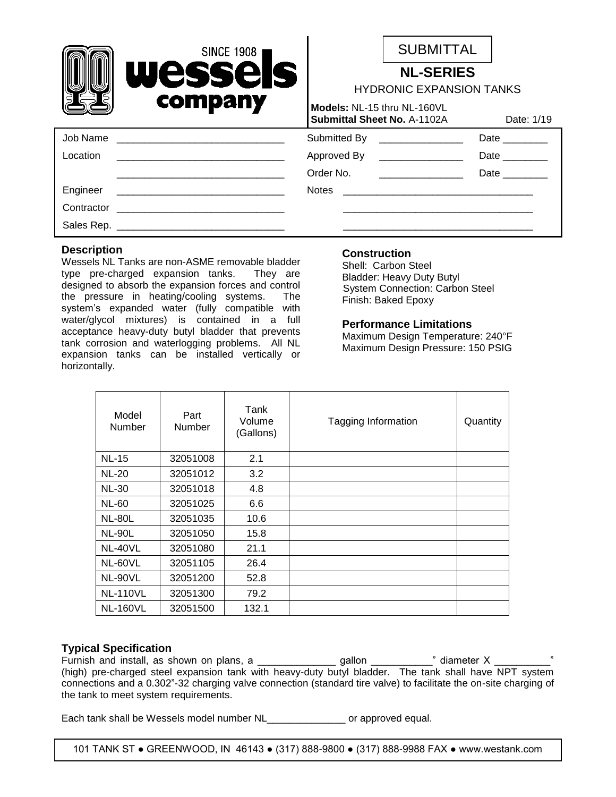|            | <b>SINCE 1908</b>                                                                                                    |                                                     | <b>SUBMITTAL</b>             |                                                                                                                 |  |
|------------|----------------------------------------------------------------------------------------------------------------------|-----------------------------------------------------|------------------------------|-----------------------------------------------------------------------------------------------------------------|--|
|            | Wessels<br>company                                                                                                   | <b>NL-SERIES</b><br><b>HYDRONIC EXPANSION TANKS</b> |                              |                                                                                                                 |  |
|            |                                                                                                                      | Models: NL-15 thru NL-160VL                         | Submittal Sheet No. A-1102A  | Date: 1/19                                                                                                      |  |
| Job Name   | <u> 1980 - Jan Barbarat, martin da shekara tsa na shekara tsa na shekara tsa na shekara tsa na shekara tsa na sh</u> |                                                     | Submitted By _______________ | Date $\_\_$                                                                                                     |  |
| Location   |                                                                                                                      |                                                     | Approved By ________________ | Date and the state of the state of the state of the state of the state of the state of the state of the state o |  |
|            |                                                                                                                      | Order No.                                           |                              | Date                                                                                                            |  |
| Engineer   |                                                                                                                      |                                                     |                              |                                                                                                                 |  |
| Contractor | <u> 1980 - Jan James Sand, amerikan berlindar (</u>                                                                  |                                                     |                              |                                                                                                                 |  |
|            |                                                                                                                      |                                                     |                              |                                                                                                                 |  |
|            |                                                                                                                      |                                                     |                              |                                                                                                                 |  |

## **Description**

Wessels NL Tanks are non-ASME removable bladder type pre-charged expansion tanks. They are designed to absorb the expansion forces and control the pressure in heating/cooling systems. The system's expanded water (fully compatible with water/glycol mixtures) is contained in a full acceptance heavy-duty butyl bladder that prevents tank corrosion and waterlogging problems. All NL expansion tanks can be installed vertically or horizontally.

## **Construction**

Shell: Carbon Steel Bladder: Heavy Duty Butyl System Connection: Carbon Steel Finish: Baked Epoxy

#### **Performance Limitations**

Maximum Design Temperature: 240°F Maximum Design Pressure: 150 PSIG

| Model<br>Number | Part<br>Number | Tank<br>Volume<br>(Gallons) | <b>Tagging Information</b> | Quantity |
|-----------------|----------------|-----------------------------|----------------------------|----------|
| <b>NL-15</b>    | 32051008       | 2.1                         |                            |          |
| <b>NL-20</b>    | 32051012       | 3.2                         |                            |          |
| <b>NL-30</b>    | 32051018       | 4.8                         |                            |          |
| <b>NL-60</b>    | 32051025       | 6.6                         |                            |          |
| <b>NL-80L</b>   | 32051035       | 10.6                        |                            |          |
| <b>NL-90L</b>   | 32051050       | 15.8                        |                            |          |
| NL-40VL         | 32051080       | 21.1                        |                            |          |
| NL-60VL         | 32051105       | 26.4                        |                            |          |
| NL-90VL         | 32051200       | 52.8                        |                            |          |
| <b>NL-110VL</b> | 32051300       | 79.2                        |                            |          |
| <b>NL-160VL</b> | 32051500       | 132.1                       |                            |          |

# **Typical Specification**

Furnish and install, as shown on plans, a \_\_\_\_\_\_\_\_\_\_\_\_\_\_ gallon \_\_\_\_\_\_\_\_\_\_\_" diameter X \_\_\_\_\_\_\_\_\_\_" (high) pre-charged steel expansion tank with heavy-duty butyl bladder. The tank shall have NPT system connections and a 0.302"-32 charging valve connection (standard tire valve) to facilitate the on-site charging of the tank to meet system requirements.

Each tank shall be Wessels model number NL\_\_\_\_\_\_\_\_\_\_\_\_\_\_\_ or approved equal.

101 TANK ST ● GREENWOOD, IN 46143 ● (317) 888-9800 ● (317) 888-9988 FAX ● www.westank.com